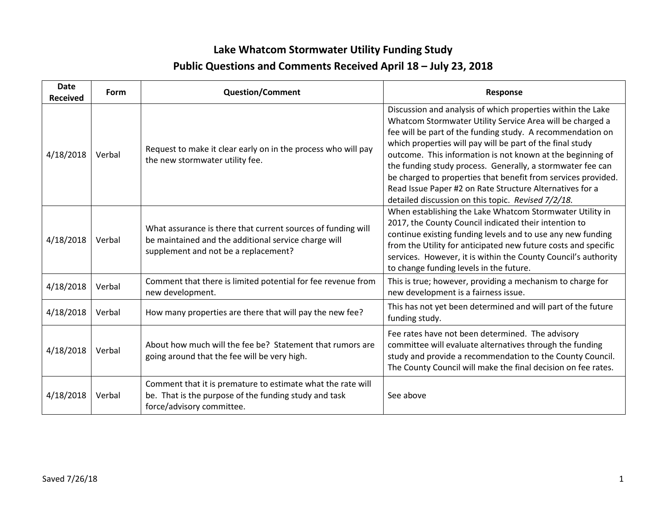## **Lake Whatcom Stormwater Utility Funding Study Public Questions and Comments Received April 18 – July 23, 2018**

| <b>Date</b><br><b>Received</b> | Form   | <b>Question/Comment</b>                                                                                                                                      | <b>Response</b>                                                                                                                                                                                                                                                                                                                                                                                                                                                                                                                                                    |
|--------------------------------|--------|--------------------------------------------------------------------------------------------------------------------------------------------------------------|--------------------------------------------------------------------------------------------------------------------------------------------------------------------------------------------------------------------------------------------------------------------------------------------------------------------------------------------------------------------------------------------------------------------------------------------------------------------------------------------------------------------------------------------------------------------|
| 4/18/2018                      | Verbal | Request to make it clear early on in the process who will pay<br>the new stormwater utility fee.                                                             | Discussion and analysis of which properties within the Lake<br>Whatcom Stormwater Utility Service Area will be charged a<br>fee will be part of the funding study. A recommendation on<br>which properties will pay will be part of the final study<br>outcome. This information is not known at the beginning of<br>the funding study process. Generally, a stormwater fee can<br>be charged to properties that benefit from services provided.<br>Read Issue Paper #2 on Rate Structure Alternatives for a<br>detailed discussion on this topic. Revised 7/2/18. |
| 4/18/2018                      | Verbal | What assurance is there that current sources of funding will<br>be maintained and the additional service charge will<br>supplement and not be a replacement? | When establishing the Lake Whatcom Stormwater Utility in<br>2017, the County Council indicated their intention to<br>continue existing funding levels and to use any new funding<br>from the Utility for anticipated new future costs and specific<br>services. However, it is within the County Council's authority<br>to change funding levels in the future.                                                                                                                                                                                                    |
| 4/18/2018                      | Verbal | Comment that there is limited potential for fee revenue from<br>new development.                                                                             | This is true; however, providing a mechanism to charge for<br>new development is a fairness issue.                                                                                                                                                                                                                                                                                                                                                                                                                                                                 |
| 4/18/2018                      | Verbal | How many properties are there that will pay the new fee?                                                                                                     | This has not yet been determined and will part of the future<br>funding study.                                                                                                                                                                                                                                                                                                                                                                                                                                                                                     |
| 4/18/2018                      | Verbal | About how much will the fee be? Statement that rumors are<br>going around that the fee will be very high.                                                    | Fee rates have not been determined. The advisory<br>committee will evaluate alternatives through the funding<br>study and provide a recommendation to the County Council.<br>The County Council will make the final decision on fee rates.                                                                                                                                                                                                                                                                                                                         |
| 4/18/2018                      | Verbal | Comment that it is premature to estimate what the rate will<br>be. That is the purpose of the funding study and task<br>force/advisory committee.            | See above                                                                                                                                                                                                                                                                                                                                                                                                                                                                                                                                                          |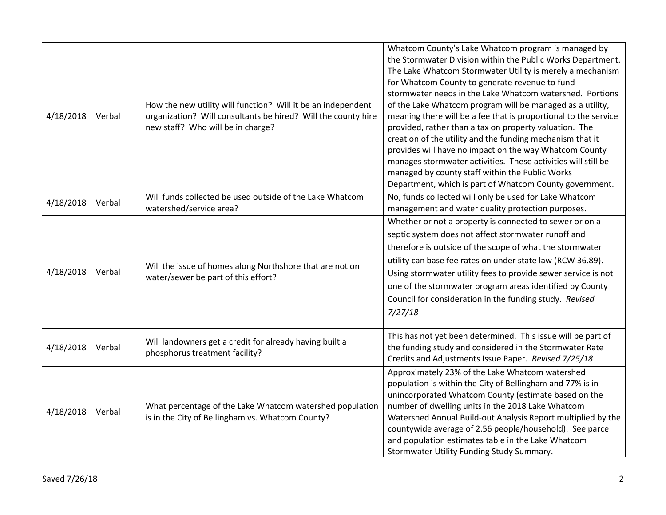| 4/18/2018 | Verbal | How the new utility will function? Will it be an independent<br>organization? Will consultants be hired? Will the county hire<br>new staff? Who will be in charge? | Whatcom County's Lake Whatcom program is managed by<br>the Stormwater Division within the Public Works Department.<br>The Lake Whatcom Stormwater Utility is merely a mechanism<br>for Whatcom County to generate revenue to fund<br>stormwater needs in the Lake Whatcom watershed. Portions<br>of the Lake Whatcom program will be managed as a utility,<br>meaning there will be a fee that is proportional to the service<br>provided, rather than a tax on property valuation. The<br>creation of the utility and the funding mechanism that it<br>provides will have no impact on the way Whatcom County<br>manages stormwater activities. These activities will still be<br>managed by county staff within the Public Works<br>Department, which is part of Whatcom County government. |
|-----------|--------|--------------------------------------------------------------------------------------------------------------------------------------------------------------------|-----------------------------------------------------------------------------------------------------------------------------------------------------------------------------------------------------------------------------------------------------------------------------------------------------------------------------------------------------------------------------------------------------------------------------------------------------------------------------------------------------------------------------------------------------------------------------------------------------------------------------------------------------------------------------------------------------------------------------------------------------------------------------------------------|
| 4/18/2018 | Verbal | Will funds collected be used outside of the Lake Whatcom<br>watershed/service area?                                                                                | No, funds collected will only be used for Lake Whatcom<br>management and water quality protection purposes.                                                                                                                                                                                                                                                                                                                                                                                                                                                                                                                                                                                                                                                                                   |
| 4/18/2018 | Verbal | Will the issue of homes along Northshore that are not on<br>water/sewer be part of this effort?                                                                    | Whether or not a property is connected to sewer or on a<br>septic system does not affect stormwater runoff and<br>therefore is outside of the scope of what the stormwater<br>utility can base fee rates on under state law (RCW 36.89).<br>Using stormwater utility fees to provide sewer service is not<br>one of the stormwater program areas identified by County<br>Council for consideration in the funding study. Revised<br>7/27/18                                                                                                                                                                                                                                                                                                                                                   |
| 4/18/2018 | Verbal | Will landowners get a credit for already having built a<br>phosphorus treatment facility?                                                                          | This has not yet been determined. This issue will be part of<br>the funding study and considered in the Stormwater Rate<br>Credits and Adjustments Issue Paper. Revised 7/25/18                                                                                                                                                                                                                                                                                                                                                                                                                                                                                                                                                                                                               |
| 4/18/2018 | Verbal | What percentage of the Lake Whatcom watershed population<br>is in the City of Bellingham vs. Whatcom County?                                                       | Approximately 23% of the Lake Whatcom watershed<br>population is within the City of Bellingham and 77% is in<br>unincorporated Whatcom County (estimate based on the<br>number of dwelling units in the 2018 Lake Whatcom<br>Watershed Annual Build-out Analysis Report multiplied by the<br>countywide average of 2.56 people/household). See parcel<br>and population estimates table in the Lake Whatcom<br>Stormwater Utility Funding Study Summary.                                                                                                                                                                                                                                                                                                                                      |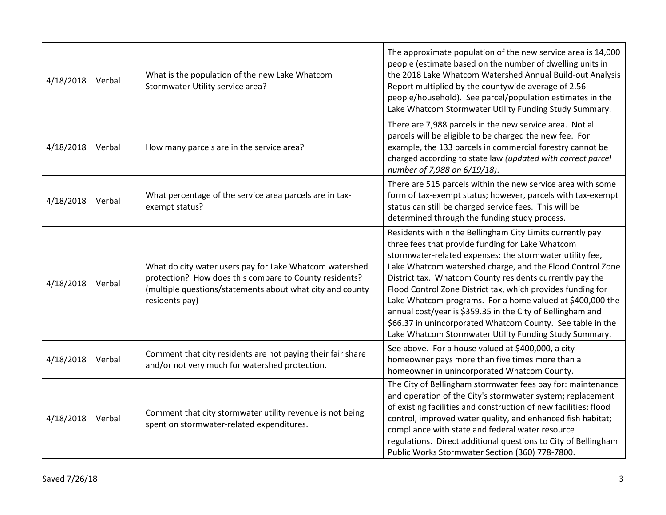| 4/18/2018 | Verbal | What is the population of the new Lake Whatcom<br>Stormwater Utility service area?                                                                                                               | The approximate population of the new service area is 14,000<br>people (estimate based on the number of dwelling units in<br>the 2018 Lake Whatcom Watershed Annual Build-out Analysis<br>Report multiplied by the countywide average of 2.56<br>people/household). See parcel/population estimates in the<br>Lake Whatcom Stormwater Utility Funding Study Summary.                                                                                                                                                                                                                                                 |
|-----------|--------|--------------------------------------------------------------------------------------------------------------------------------------------------------------------------------------------------|----------------------------------------------------------------------------------------------------------------------------------------------------------------------------------------------------------------------------------------------------------------------------------------------------------------------------------------------------------------------------------------------------------------------------------------------------------------------------------------------------------------------------------------------------------------------------------------------------------------------|
| 4/18/2018 | Verbal | How many parcels are in the service area?                                                                                                                                                        | There are 7,988 parcels in the new service area. Not all<br>parcels will be eligible to be charged the new fee. For<br>example, the 133 parcels in commercial forestry cannot be<br>charged according to state law (updated with correct parcel<br>number of 7,988 on 6/19/18).                                                                                                                                                                                                                                                                                                                                      |
| 4/18/2018 | Verbal | What percentage of the service area parcels are in tax-<br>exempt status?                                                                                                                        | There are 515 parcels within the new service area with some<br>form of tax-exempt status; however, parcels with tax-exempt<br>status can still be charged service fees. This will be<br>determined through the funding study process.                                                                                                                                                                                                                                                                                                                                                                                |
| 4/18/2018 | Verbal | What do city water users pay for Lake Whatcom watershed<br>protection? How does this compare to County residents?<br>(multiple questions/statements about what city and county<br>residents pay) | Residents within the Bellingham City Limits currently pay<br>three fees that provide funding for Lake Whatcom<br>stormwater-related expenses: the stormwater utility fee,<br>Lake Whatcom watershed charge, and the Flood Control Zone<br>District tax. Whatcom County residents currently pay the<br>Flood Control Zone District tax, which provides funding for<br>Lake Whatcom programs. For a home valued at \$400,000 the<br>annual cost/year is \$359.35 in the City of Bellingham and<br>\$66.37 in unincorporated Whatcom County. See table in the<br>Lake Whatcom Stormwater Utility Funding Study Summary. |
| 4/18/2018 | Verbal | Comment that city residents are not paying their fair share<br>and/or not very much for watershed protection.                                                                                    | See above. For a house valued at \$400,000, a city<br>homeowner pays more than five times more than a<br>homeowner in unincorporated Whatcom County.                                                                                                                                                                                                                                                                                                                                                                                                                                                                 |
| 4/18/2018 | Verbal | Comment that city stormwater utility revenue is not being<br>spent on stormwater-related expenditures.                                                                                           | The City of Bellingham stormwater fees pay for: maintenance<br>and operation of the City's stormwater system; replacement<br>of existing facilities and construction of new facilities; flood<br>control, improved water quality, and enhanced fish habitat;<br>compliance with state and federal water resource<br>regulations. Direct additional questions to City of Bellingham<br>Public Works Stormwater Section (360) 778-7800.                                                                                                                                                                                |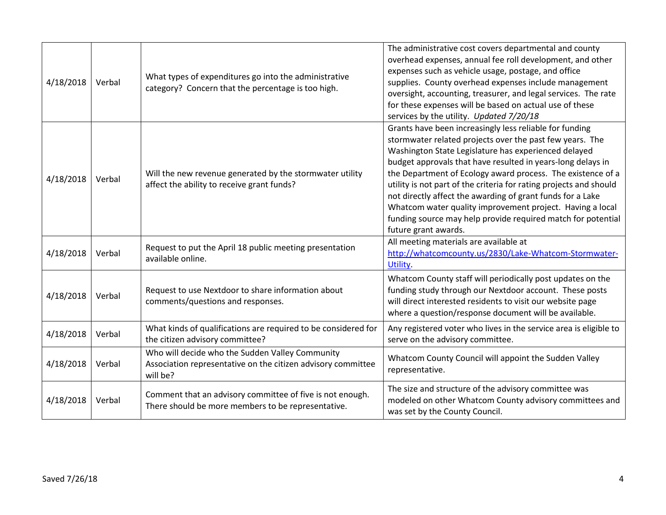| 4/18/2018 | Verbal | What types of expenditures go into the administrative<br>category? Concern that the percentage is too high.                 | The administrative cost covers departmental and county<br>overhead expenses, annual fee roll development, and other<br>expenses such as vehicle usage, postage, and office<br>supplies. County overhead expenses include management<br>oversight, accounting, treasurer, and legal services. The rate<br>for these expenses will be based on actual use of these<br>services by the utility. Updated 7/20/18                                                                                                                                                                                       |
|-----------|--------|-----------------------------------------------------------------------------------------------------------------------------|----------------------------------------------------------------------------------------------------------------------------------------------------------------------------------------------------------------------------------------------------------------------------------------------------------------------------------------------------------------------------------------------------------------------------------------------------------------------------------------------------------------------------------------------------------------------------------------------------|
| 4/18/2018 | Verbal | Will the new revenue generated by the stormwater utility<br>affect the ability to receive grant funds?                      | Grants have been increasingly less reliable for funding<br>stormwater related projects over the past few years. The<br>Washington State Legislature has experienced delayed<br>budget approvals that have resulted in years-long delays in<br>the Department of Ecology award process. The existence of a<br>utility is not part of the criteria for rating projects and should<br>not directly affect the awarding of grant funds for a Lake<br>Whatcom water quality improvement project. Having a local<br>funding source may help provide required match for potential<br>future grant awards. |
| 4/18/2018 | Verbal | Request to put the April 18 public meeting presentation<br>available online.                                                | All meeting materials are available at<br>http://whatcomcounty.us/2830/Lake-Whatcom-Stormwater-<br>Utility.                                                                                                                                                                                                                                                                                                                                                                                                                                                                                        |
| 4/18/2018 | Verbal | Request to use Nextdoor to share information about<br>comments/questions and responses.                                     | Whatcom County staff will periodically post updates on the<br>funding study through our Nextdoor account. These posts<br>will direct interested residents to visit our website page<br>where a question/response document will be available.                                                                                                                                                                                                                                                                                                                                                       |
| 4/18/2018 | Verbal | What kinds of qualifications are required to be considered for<br>the citizen advisory committee?                           | Any registered voter who lives in the service area is eligible to<br>serve on the advisory committee.                                                                                                                                                                                                                                                                                                                                                                                                                                                                                              |
| 4/18/2018 | Verbal | Who will decide who the Sudden Valley Community<br>Association representative on the citizen advisory committee<br>will be? | Whatcom County Council will appoint the Sudden Valley<br>representative.                                                                                                                                                                                                                                                                                                                                                                                                                                                                                                                           |
| 4/18/2018 | Verbal | Comment that an advisory committee of five is not enough.<br>There should be more members to be representative.             | The size and structure of the advisory committee was<br>modeled on other Whatcom County advisory committees and<br>was set by the County Council.                                                                                                                                                                                                                                                                                                                                                                                                                                                  |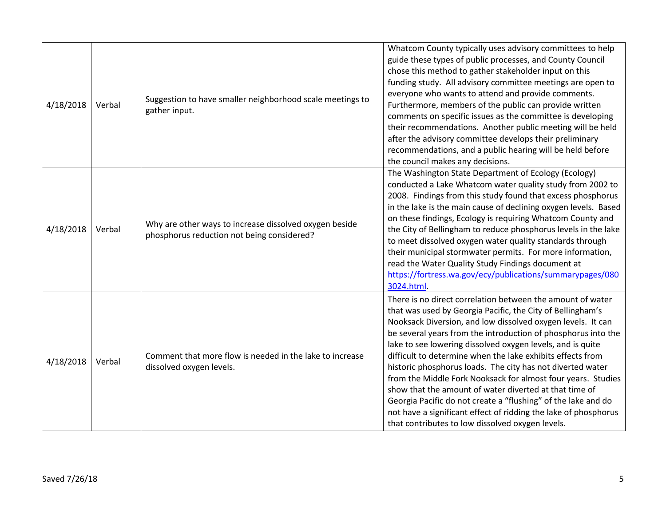| 4/18/2018 | Verbal | Suggestion to have smaller neighborhood scale meetings to<br>gather input.                           | Whatcom County typically uses advisory committees to help<br>guide these types of public processes, and County Council<br>chose this method to gather stakeholder input on this<br>funding study. All advisory committee meetings are open to<br>everyone who wants to attend and provide comments.<br>Furthermore, members of the public can provide written<br>comments on specific issues as the committee is developing<br>their recommendations. Another public meeting will be held<br>after the advisory committee develops their preliminary<br>recommendations, and a public hearing will be held before<br>the council makes any decisions.                                                                                                                |
|-----------|--------|------------------------------------------------------------------------------------------------------|----------------------------------------------------------------------------------------------------------------------------------------------------------------------------------------------------------------------------------------------------------------------------------------------------------------------------------------------------------------------------------------------------------------------------------------------------------------------------------------------------------------------------------------------------------------------------------------------------------------------------------------------------------------------------------------------------------------------------------------------------------------------|
| 4/18/2018 | Verbal | Why are other ways to increase dissolved oxygen beside<br>phosphorus reduction not being considered? | The Washington State Department of Ecology (Ecology)<br>conducted a Lake Whatcom water quality study from 2002 to<br>2008. Findings from this study found that excess phosphorus<br>in the lake is the main cause of declining oxygen levels. Based<br>on these findings, Ecology is requiring Whatcom County and<br>the City of Bellingham to reduce phosphorus levels in the lake<br>to meet dissolved oxygen water quality standards through<br>their municipal stormwater permits. For more information,<br>read the Water Quality Study Findings document at<br>https://fortress.wa.gov/ecy/publications/summarypages/080<br>3024.html.                                                                                                                         |
| 4/18/2018 | Verbal | Comment that more flow is needed in the lake to increase<br>dissolved oxygen levels.                 | There is no direct correlation between the amount of water<br>that was used by Georgia Pacific, the City of Bellingham's<br>Nooksack Diversion, and low dissolved oxygen levels. It can<br>be several years from the introduction of phosphorus into the<br>lake to see lowering dissolved oxygen levels, and is quite<br>difficult to determine when the lake exhibits effects from<br>historic phosphorus loads. The city has not diverted water<br>from the Middle Fork Nooksack for almost four years. Studies<br>show that the amount of water diverted at that time of<br>Georgia Pacific do not create a "flushing" of the lake and do<br>not have a significant effect of ridding the lake of phosphorus<br>that contributes to low dissolved oxygen levels. |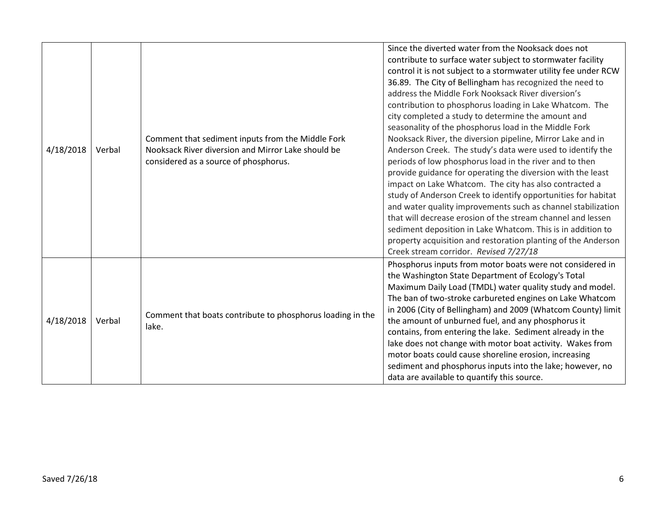| 4/18/2018 | Verbal | Comment that sediment inputs from the Middle Fork<br>Nooksack River diversion and Mirror Lake should be<br>considered as a source of phosphorus. | Since the diverted water from the Nooksack does not<br>contribute to surface water subject to stormwater facility<br>control it is not subject to a stormwater utility fee under RCW<br>36.89. The City of Bellingham has recognized the need to<br>address the Middle Fork Nooksack River diversion's<br>contribution to phosphorus loading in Lake Whatcom. The<br>city completed a study to determine the amount and<br>seasonality of the phosphorus load in the Middle Fork<br>Nooksack River, the diversion pipeline, Mirror Lake and in<br>Anderson Creek. The study's data were used to identify the<br>periods of low phosphorus load in the river and to then<br>provide guidance for operating the diversion with the least<br>impact on Lake Whatcom. The city has also contracted a<br>study of Anderson Creek to identify opportunities for habitat<br>and water quality improvements such as channel stabilization<br>that will decrease erosion of the stream channel and lessen<br>sediment deposition in Lake Whatcom. This is in addition to |
|-----------|--------|--------------------------------------------------------------------------------------------------------------------------------------------------|-----------------------------------------------------------------------------------------------------------------------------------------------------------------------------------------------------------------------------------------------------------------------------------------------------------------------------------------------------------------------------------------------------------------------------------------------------------------------------------------------------------------------------------------------------------------------------------------------------------------------------------------------------------------------------------------------------------------------------------------------------------------------------------------------------------------------------------------------------------------------------------------------------------------------------------------------------------------------------------------------------------------------------------------------------------------|
| 4/18/2018 | Verbal | Comment that boats contribute to phosphorus loading in the<br>lake.                                                                              | property acquisition and restoration planting of the Anderson<br>Creek stream corridor. Revised 7/27/18<br>Phosphorus inputs from motor boats were not considered in<br>the Washington State Department of Ecology's Total<br>Maximum Daily Load (TMDL) water quality study and model.<br>The ban of two-stroke carbureted engines on Lake Whatcom<br>in 2006 (City of Bellingham) and 2009 (Whatcom County) limit<br>the amount of unburned fuel, and any phosphorus it<br>contains, from entering the lake. Sediment already in the<br>lake does not change with motor boat activity. Wakes from<br>motor boats could cause shoreline erosion, increasing<br>sediment and phosphorus inputs into the lake; however, no                                                                                                                                                                                                                                                                                                                                        |
|           |        |                                                                                                                                                  | data are available to quantify this source.                                                                                                                                                                                                                                                                                                                                                                                                                                                                                                                                                                                                                                                                                                                                                                                                                                                                                                                                                                                                                     |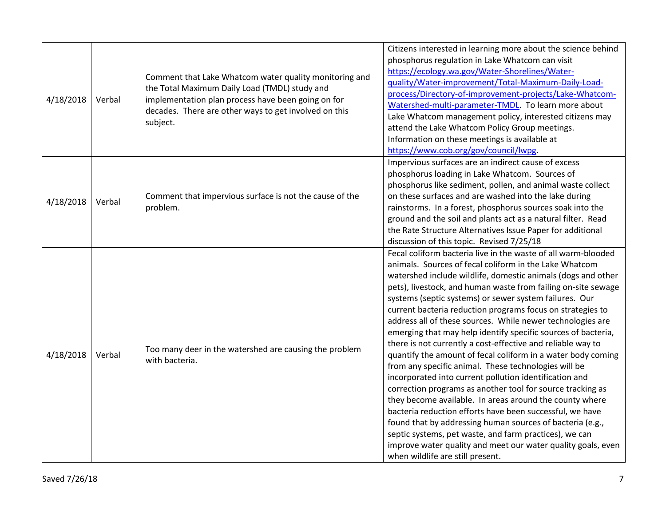| 4/18/2018 | Verbal | Comment that Lake Whatcom water quality monitoring and<br>the Total Maximum Daily Load (TMDL) study and<br>implementation plan process have been going on for<br>decades. There are other ways to get involved on this<br>subject. | Citizens interested in learning more about the science behind<br>phosphorus regulation in Lake Whatcom can visit<br>https://ecology.wa.gov/Water-Shorelines/Water-<br>guality/Water-improvement/Total-Maximum-Daily-Load-<br>process/Directory-of-improvement-projects/Lake-Whatcom-<br>Watershed-multi-parameter-TMDL. To learn more about<br>Lake Whatcom management policy, interested citizens may<br>attend the Lake Whatcom Policy Group meetings.<br>Information on these meetings is available at<br>https://www.cob.org/gov/council/lwpg.                                                                                                                                                                                                                                                                                                                                                                                                                                                                                                                                                                                                                               |
|-----------|--------|------------------------------------------------------------------------------------------------------------------------------------------------------------------------------------------------------------------------------------|----------------------------------------------------------------------------------------------------------------------------------------------------------------------------------------------------------------------------------------------------------------------------------------------------------------------------------------------------------------------------------------------------------------------------------------------------------------------------------------------------------------------------------------------------------------------------------------------------------------------------------------------------------------------------------------------------------------------------------------------------------------------------------------------------------------------------------------------------------------------------------------------------------------------------------------------------------------------------------------------------------------------------------------------------------------------------------------------------------------------------------------------------------------------------------|
| 4/18/2018 | Verbal | Comment that impervious surface is not the cause of the<br>problem.                                                                                                                                                                | Impervious surfaces are an indirect cause of excess<br>phosphorus loading in Lake Whatcom. Sources of<br>phosphorus like sediment, pollen, and animal waste collect<br>on these surfaces and are washed into the lake during<br>rainstorms. In a forest, phosphorus sources soak into the<br>ground and the soil and plants act as a natural filter. Read<br>the Rate Structure Alternatives Issue Paper for additional<br>discussion of this topic. Revised 7/25/18                                                                                                                                                                                                                                                                                                                                                                                                                                                                                                                                                                                                                                                                                                             |
| 4/18/2018 | Verbal | Too many deer in the watershed are causing the problem<br>with bacteria.                                                                                                                                                           | Fecal coliform bacteria live in the waste of all warm-blooded<br>animals. Sources of fecal coliform in the Lake Whatcom<br>watershed include wildlife, domestic animals (dogs and other<br>pets), livestock, and human waste from failing on-site sewage<br>systems (septic systems) or sewer system failures. Our<br>current bacteria reduction programs focus on strategies to<br>address all of these sources. While newer technologies are<br>emerging that may help identify specific sources of bacteria,<br>there is not currently a cost-effective and reliable way to<br>quantify the amount of fecal coliform in a water body coming<br>from any specific animal. These technologies will be<br>incorporated into current pollution identification and<br>correction programs as another tool for source tracking as<br>they become available. In areas around the county where<br>bacteria reduction efforts have been successful, we have<br>found that by addressing human sources of bacteria (e.g.,<br>septic systems, pet waste, and farm practices), we can<br>improve water quality and meet our water quality goals, even<br>when wildlife are still present. |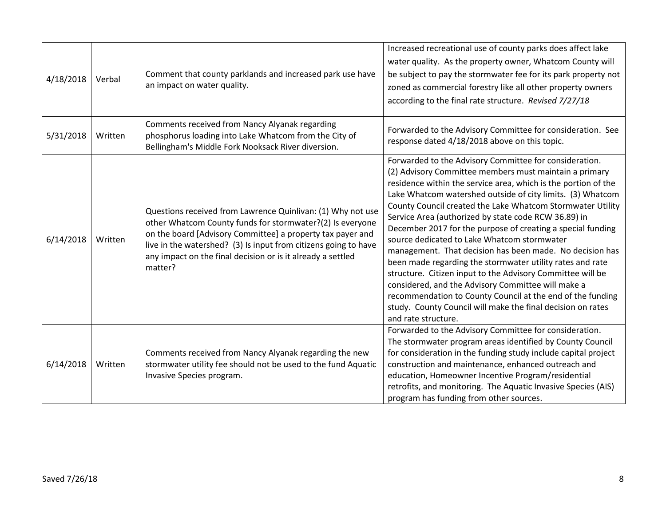| 4/18/2018 | Verbal  | Comment that county parklands and increased park use have<br>an impact on water quality.                                                                                                                                                                                                                                            | Increased recreational use of county parks does affect lake<br>water quality. As the property owner, Whatcom County will<br>be subject to pay the stormwater fee for its park property not<br>zoned as commercial forestry like all other property owners<br>according to the final rate structure. Revised 7/27/18                                                                                                                                                                                                                                                                                                                                                                                                                                                                                                                                                                   |
|-----------|---------|-------------------------------------------------------------------------------------------------------------------------------------------------------------------------------------------------------------------------------------------------------------------------------------------------------------------------------------|---------------------------------------------------------------------------------------------------------------------------------------------------------------------------------------------------------------------------------------------------------------------------------------------------------------------------------------------------------------------------------------------------------------------------------------------------------------------------------------------------------------------------------------------------------------------------------------------------------------------------------------------------------------------------------------------------------------------------------------------------------------------------------------------------------------------------------------------------------------------------------------|
| 5/31/2018 | Written | Comments received from Nancy Alyanak regarding<br>phosphorus loading into Lake Whatcom from the City of<br>Bellingham's Middle Fork Nooksack River diversion.                                                                                                                                                                       | Forwarded to the Advisory Committee for consideration. See<br>response dated 4/18/2018 above on this topic.                                                                                                                                                                                                                                                                                                                                                                                                                                                                                                                                                                                                                                                                                                                                                                           |
| 6/14/2018 | Written | Questions received from Lawrence Quinlivan: (1) Why not use<br>other Whatcom County funds for stormwater?(2) Is everyone<br>on the board [Advisory Committee] a property tax payer and<br>live in the watershed? (3) Is input from citizens going to have<br>any impact on the final decision or is it already a settled<br>matter? | Forwarded to the Advisory Committee for consideration.<br>(2) Advisory Committee members must maintain a primary<br>residence within the service area, which is the portion of the<br>Lake Whatcom watershed outside of city limits. (3) Whatcom<br>County Council created the Lake Whatcom Stormwater Utility<br>Service Area (authorized by state code RCW 36.89) in<br>December 2017 for the purpose of creating a special funding<br>source dedicated to Lake Whatcom stormwater<br>management. That decision has been made. No decision has<br>been made regarding the stormwater utility rates and rate<br>structure. Citizen input to the Advisory Committee will be<br>considered, and the Advisory Committee will make a<br>recommendation to County Council at the end of the funding<br>study. County Council will make the final decision on rates<br>and rate structure. |
| 6/14/2018 | Written | Comments received from Nancy Alyanak regarding the new<br>stormwater utility fee should not be used to the fund Aquatic<br>Invasive Species program.                                                                                                                                                                                | Forwarded to the Advisory Committee for consideration.<br>The stormwater program areas identified by County Council<br>for consideration in the funding study include capital project<br>construction and maintenance, enhanced outreach and<br>education, Homeowner Incentive Program/residential<br>retrofits, and monitoring. The Aquatic Invasive Species (AIS)<br>program has funding from other sources.                                                                                                                                                                                                                                                                                                                                                                                                                                                                        |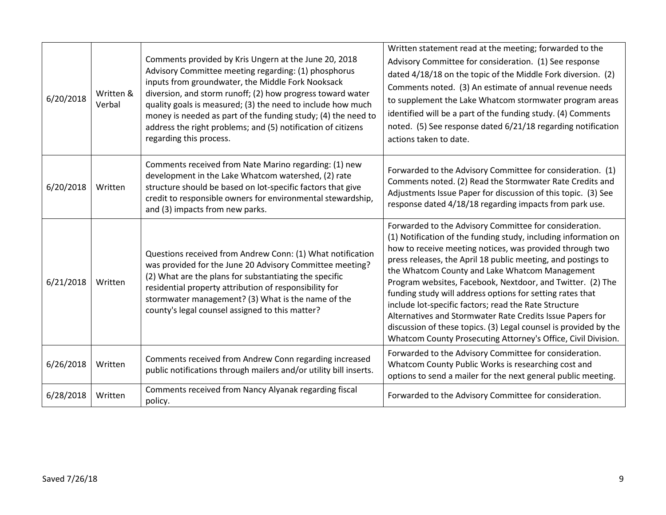| 6/20/2018 | Written &<br>Verbal | Comments provided by Kris Ungern at the June 20, 2018<br>Advisory Committee meeting regarding: (1) phosphorus<br>inputs from groundwater, the Middle Fork Nooksack<br>diversion, and storm runoff; (2) how progress toward water<br>quality goals is measured; (3) the need to include how much<br>money is needed as part of the funding study; (4) the need to<br>address the right problems; and (5) notification of citizens<br>regarding this process. | Written statement read at the meeting; forwarded to the<br>Advisory Committee for consideration. (1) See response<br>dated 4/18/18 on the topic of the Middle Fork diversion. (2)<br>Comments noted. (3) An estimate of annual revenue needs<br>to supplement the Lake Whatcom stormwater program areas<br>identified will be a part of the funding study. (4) Comments<br>noted. (5) See response dated 6/21/18 regarding notification<br>actions taken to date.                                                                                                                                                                                                                             |
|-----------|---------------------|-------------------------------------------------------------------------------------------------------------------------------------------------------------------------------------------------------------------------------------------------------------------------------------------------------------------------------------------------------------------------------------------------------------------------------------------------------------|-----------------------------------------------------------------------------------------------------------------------------------------------------------------------------------------------------------------------------------------------------------------------------------------------------------------------------------------------------------------------------------------------------------------------------------------------------------------------------------------------------------------------------------------------------------------------------------------------------------------------------------------------------------------------------------------------|
| 6/20/2018 | Written             | Comments received from Nate Marino regarding: (1) new<br>development in the Lake Whatcom watershed, (2) rate<br>structure should be based on lot-specific factors that give<br>credit to responsible owners for environmental stewardship,<br>and (3) impacts from new parks.                                                                                                                                                                               | Forwarded to the Advisory Committee for consideration. (1)<br>Comments noted. (2) Read the Stormwater Rate Credits and<br>Adjustments Issue Paper for discussion of this topic. (3) See<br>response dated 4/18/18 regarding impacts from park use.                                                                                                                                                                                                                                                                                                                                                                                                                                            |
| 6/21/2018 | Written             | Questions received from Andrew Conn: (1) What notification<br>was provided for the June 20 Advisory Committee meeting?<br>(2) What are the plans for substantiating the specific<br>residential property attribution of responsibility for<br>stormwater management? (3) What is the name of the<br>county's legal counsel assigned to this matter?                                                                                                         | Forwarded to the Advisory Committee for consideration.<br>(1) Notification of the funding study, including information on<br>how to receive meeting notices, was provided through two<br>press releases, the April 18 public meeting, and postings to<br>the Whatcom County and Lake Whatcom Management<br>Program websites, Facebook, Nextdoor, and Twitter. (2) The<br>funding study will address options for setting rates that<br>include lot-specific factors; read the Rate Structure<br>Alternatives and Stormwater Rate Credits Issue Papers for<br>discussion of these topics. (3) Legal counsel is provided by the<br>Whatcom County Prosecuting Attorney's Office, Civil Division. |
| 6/26/2018 | Written             | Comments received from Andrew Conn regarding increased<br>public notifications through mailers and/or utility bill inserts.                                                                                                                                                                                                                                                                                                                                 | Forwarded to the Advisory Committee for consideration.<br>Whatcom County Public Works is researching cost and<br>options to send a mailer for the next general public meeting.                                                                                                                                                                                                                                                                                                                                                                                                                                                                                                                |
| 6/28/2018 | Written             | Comments received from Nancy Alyanak regarding fiscal<br>policy.                                                                                                                                                                                                                                                                                                                                                                                            | Forwarded to the Advisory Committee for consideration.                                                                                                                                                                                                                                                                                                                                                                                                                                                                                                                                                                                                                                        |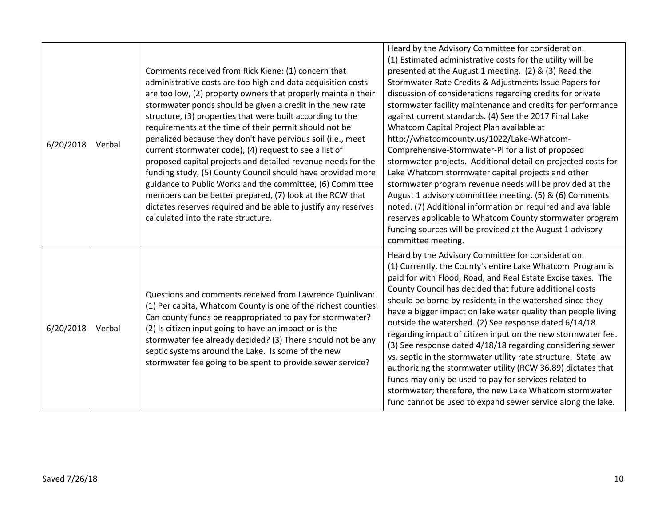| 6/20/2018 | Verbal | Comments received from Rick Kiene: (1) concern that<br>administrative costs are too high and data acquisition costs<br>are too low, (2) property owners that properly maintain their<br>stormwater ponds should be given a credit in the new rate<br>structure, (3) properties that were built according to the<br>requirements at the time of their permit should not be<br>penalized because they don't have pervious soil (i.e., meet<br>current stormwater code), (4) request to see a list of<br>proposed capital projects and detailed revenue needs for the<br>funding study, (5) County Council should have provided more<br>guidance to Public Works and the committee, (6) Committee<br>members can be better prepared, (7) look at the RCW that<br>dictates reserves required and be able to justify any reserves<br>calculated into the rate structure. | Heard by the Advisory Committee for consideration.<br>(1) Estimated administrative costs for the utility will be<br>presented at the August 1 meeting. (2) & (3) Read the<br>Stormwater Rate Credits & Adjustments Issue Papers for<br>discussion of considerations regarding credits for private<br>stormwater facility maintenance and credits for performance<br>against current standards. (4) See the 2017 Final Lake<br>Whatcom Capital Project Plan available at<br>http://whatcomcounty.us/1022/Lake-Whatcom-<br>Comprehensive-Stormwater-PI for a list of proposed<br>stormwater projects. Additional detail on projected costs for<br>Lake Whatcom stormwater capital projects and other<br>stormwater program revenue needs will be provided at the<br>August 1 advisory committee meeting. (5) & (6) Comments<br>noted. (7) Additional information on required and available<br>reserves applicable to Whatcom County stormwater program<br>funding sources will be provided at the August 1 advisory<br>committee meeting. |
|-----------|--------|---------------------------------------------------------------------------------------------------------------------------------------------------------------------------------------------------------------------------------------------------------------------------------------------------------------------------------------------------------------------------------------------------------------------------------------------------------------------------------------------------------------------------------------------------------------------------------------------------------------------------------------------------------------------------------------------------------------------------------------------------------------------------------------------------------------------------------------------------------------------|-----------------------------------------------------------------------------------------------------------------------------------------------------------------------------------------------------------------------------------------------------------------------------------------------------------------------------------------------------------------------------------------------------------------------------------------------------------------------------------------------------------------------------------------------------------------------------------------------------------------------------------------------------------------------------------------------------------------------------------------------------------------------------------------------------------------------------------------------------------------------------------------------------------------------------------------------------------------------------------------------------------------------------------------|
| 6/20/2018 | Verbal | Questions and comments received from Lawrence Quinlivan:<br>(1) Per capita, Whatcom County is one of the richest counties.<br>Can county funds be reappropriated to pay for stormwater?<br>(2) Is citizen input going to have an impact or is the<br>stormwater fee already decided? (3) There should not be any<br>septic systems around the Lake. Is some of the new<br>stormwater fee going to be spent to provide sewer service?                                                                                                                                                                                                                                                                                                                                                                                                                                | Heard by the Advisory Committee for consideration.<br>(1) Currently, the County's entire Lake Whatcom Program is<br>paid for with Flood, Road, and Real Estate Excise taxes. The<br>County Council has decided that future additional costs<br>should be borne by residents in the watershed since they<br>have a bigger impact on lake water quality than people living<br>outside the watershed. (2) See response dated 6/14/18<br>regarding impact of citizen input on the new stormwater fee.<br>(3) See response dated 4/18/18 regarding considering sewer<br>vs. septic in the stormwater utility rate structure. State law<br>authorizing the stormwater utility (RCW 36.89) dictates that<br>funds may only be used to pay for services related to<br>stormwater; therefore, the new Lake Whatcom stormwater<br>fund cannot be used to expand sewer service along the lake.                                                                                                                                                     |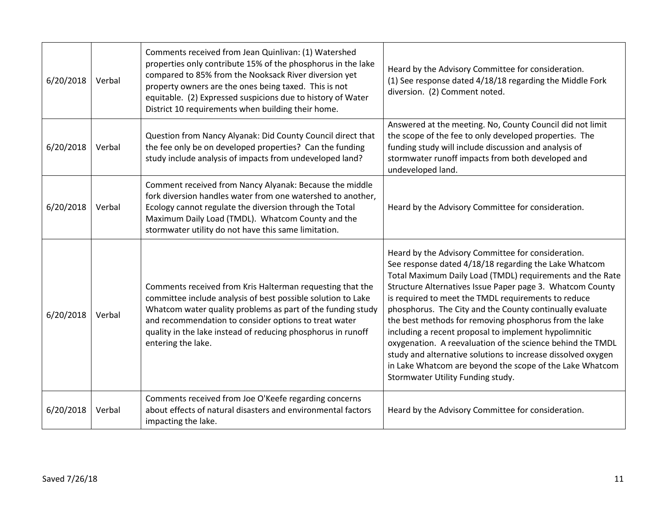| 6/20/2018 | Verbal | Comments received from Jean Quinlivan: (1) Watershed<br>properties only contribute 15% of the phosphorus in the lake<br>compared to 85% from the Nooksack River diversion yet<br>property owners are the ones being taxed. This is not<br>equitable. (2) Expressed suspicions due to history of Water<br>District 10 requirements when building their home. | Heard by the Advisory Committee for consideration.<br>(1) See response dated 4/18/18 regarding the Middle Fork<br>diversion. (2) Comment noted.                                                                                                                                                                                                                                                                                                                                                                                                                                                                                                                                                            |
|-----------|--------|-------------------------------------------------------------------------------------------------------------------------------------------------------------------------------------------------------------------------------------------------------------------------------------------------------------------------------------------------------------|------------------------------------------------------------------------------------------------------------------------------------------------------------------------------------------------------------------------------------------------------------------------------------------------------------------------------------------------------------------------------------------------------------------------------------------------------------------------------------------------------------------------------------------------------------------------------------------------------------------------------------------------------------------------------------------------------------|
| 6/20/2018 | Verbal | Question from Nancy Alyanak: Did County Council direct that<br>the fee only be on developed properties? Can the funding<br>study include analysis of impacts from undeveloped land?                                                                                                                                                                         | Answered at the meeting. No, County Council did not limit<br>the scope of the fee to only developed properties. The<br>funding study will include discussion and analysis of<br>stormwater runoff impacts from both developed and<br>undeveloped land.                                                                                                                                                                                                                                                                                                                                                                                                                                                     |
| 6/20/2018 | Verbal | Comment received from Nancy Alyanak: Because the middle<br>fork diversion handles water from one watershed to another,<br>Ecology cannot regulate the diversion through the Total<br>Maximum Daily Load (TMDL). Whatcom County and the<br>stormwater utility do not have this same limitation.                                                              | Heard by the Advisory Committee for consideration.                                                                                                                                                                                                                                                                                                                                                                                                                                                                                                                                                                                                                                                         |
| 6/20/2018 | Verbal | Comments received from Kris Halterman requesting that the<br>committee include analysis of best possible solution to Lake<br>Whatcom water quality problems as part of the funding study<br>and recommendation to consider options to treat water<br>quality in the lake instead of reducing phosphorus in runoff<br>entering the lake.                     | Heard by the Advisory Committee for consideration.<br>See response dated 4/18/18 regarding the Lake Whatcom<br>Total Maximum Daily Load (TMDL) requirements and the Rate<br>Structure Alternatives Issue Paper page 3. Whatcom County<br>is required to meet the TMDL requirements to reduce<br>phosphorus. The City and the County continually evaluate<br>the best methods for removing phosphorus from the lake<br>including a recent proposal to implement hypolimnitic<br>oxygenation. A reevaluation of the science behind the TMDL<br>study and alternative solutions to increase dissolved oxygen<br>in Lake Whatcom are beyond the scope of the Lake Whatcom<br>Stormwater Utility Funding study. |
| 6/20/2018 | Verbal | Comments received from Joe O'Keefe regarding concerns<br>about effects of natural disasters and environmental factors<br>impacting the lake.                                                                                                                                                                                                                | Heard by the Advisory Committee for consideration.                                                                                                                                                                                                                                                                                                                                                                                                                                                                                                                                                                                                                                                         |